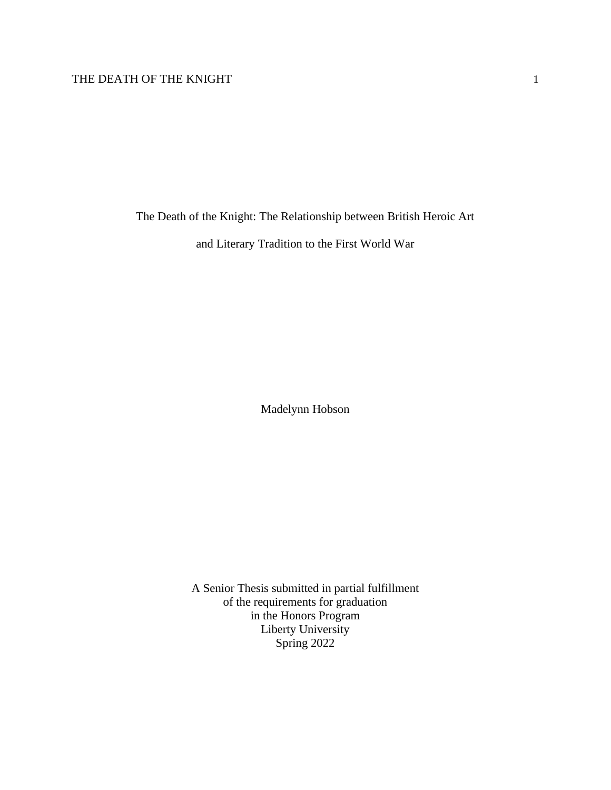The Death of the Knight: The Relationship between British Heroic Art

and Literary Tradition to the First World War

Madelynn Hobson

A Senior Thesis submitted in partial fulfillment of the requirements for graduation in the Honors Program Liberty University Spring 2022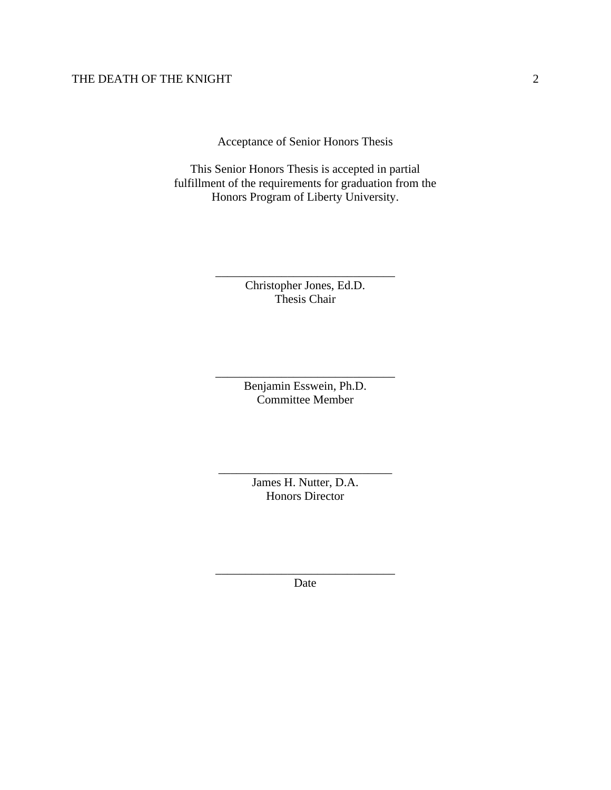Acceptance of Senior Honors Thesis

This Senior Honors Thesis is accepted in partial fulfillment of the requirements for graduation from the Honors Program of Liberty University.

> Christopher Jones, Ed.D. Thesis Chair

\_\_\_\_\_\_\_\_\_\_\_\_\_\_\_\_\_\_\_\_\_\_\_\_\_\_\_\_\_\_

Benjamin Esswein, Ph.D. Committee Member

\_\_\_\_\_\_\_\_\_\_\_\_\_\_\_\_\_\_\_\_\_\_\_\_\_\_\_\_\_\_

James H. Nutter, D.A. Honors Director

\_\_\_\_\_\_\_\_\_\_\_\_\_\_\_\_\_\_\_\_\_\_\_\_\_\_\_\_\_

\_\_\_\_\_\_\_\_\_\_\_\_\_\_\_\_\_\_\_\_\_\_\_\_\_\_\_\_\_\_ Date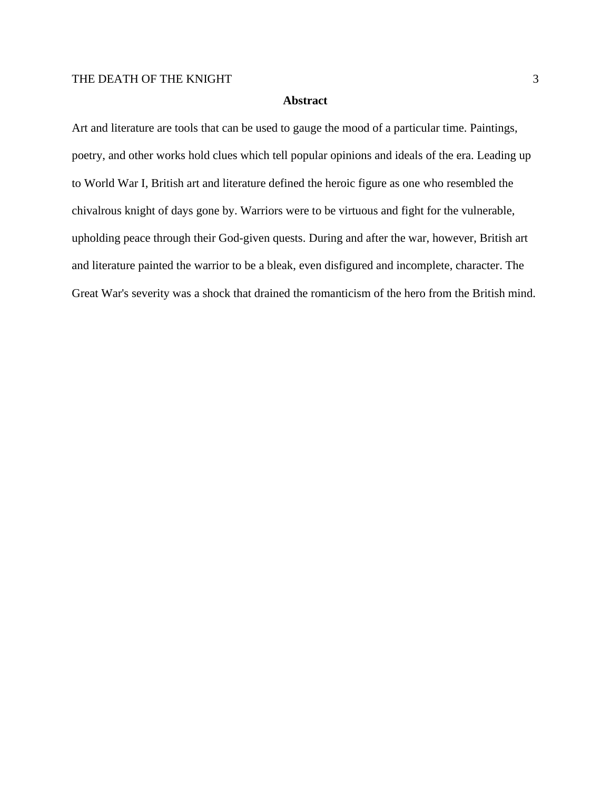#### **Abstract**

Art and literature are tools that can be used to gauge the mood of a particular time. Paintings, poetry, and other works hold clues which tell popular opinions and ideals of the era. Leading up to World War I, British art and literature defined the heroic figure as one who resembled the chivalrous knight of days gone by. Warriors were to be virtuous and fight for the vulnerable, upholding peace through their God-given quests. During and after the war, however, British art and literature painted the warrior to be a bleak, even disfigured and incomplete, character. The Great War's severity was a shock that drained the romanticism of the hero from the British mind.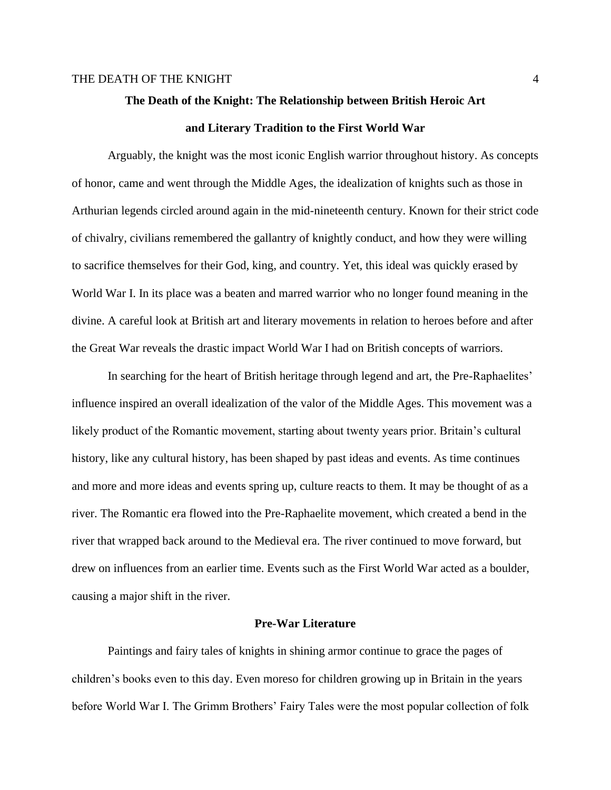# **The Death of the Knight: The Relationship between British Heroic Art and Literary Tradition to the First World War**

Arguably, the knight was the most iconic English warrior throughout history. As concepts of honor, came and went through the Middle Ages, the idealization of knights such as those in Arthurian legends circled around again in the mid-nineteenth century. Known for their strict code of chivalry, civilians remembered the gallantry of knightly conduct, and how they were willing to sacrifice themselves for their God, king, and country. Yet, this ideal was quickly erased by World War I. In its place was a beaten and marred warrior who no longer found meaning in the divine. A careful look at British art and literary movements in relation to heroes before and after the Great War reveals the drastic impact World War I had on British concepts of warriors.

In searching for the heart of British heritage through legend and art, the Pre-Raphaelites' influence inspired an overall idealization of the valor of the Middle Ages. This movement was a likely product of the Romantic movement, starting about twenty years prior. Britain's cultural history, like any cultural history, has been shaped by past ideas and events. As time continues and more and more ideas and events spring up, culture reacts to them. It may be thought of as a river. The Romantic era flowed into the Pre-Raphaelite movement, which created a bend in the river that wrapped back around to the Medieval era. The river continued to move forward, but drew on influences from an earlier time. Events such as the First World War acted as a boulder, causing a major shift in the river.

#### **Pre-War Literature**

Paintings and fairy tales of knights in shining armor continue to grace the pages of children's books even to this day. Even moreso for children growing up in Britain in the years before World War I. The Grimm Brothers' Fairy Tales were the most popular collection of folk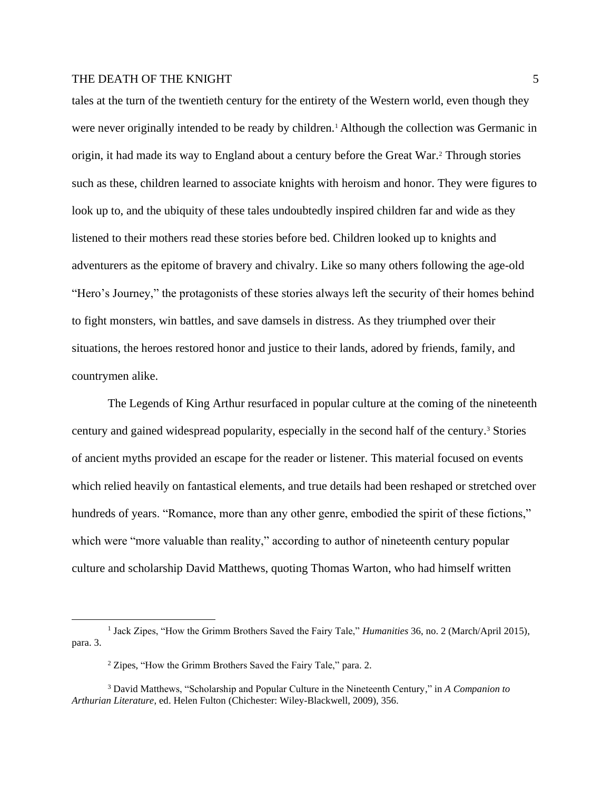tales at the turn of the twentieth century for the entirety of the Western world, even though they were never originally intended to be ready by children.<sup>1</sup> Although the collection was Germanic in origin, it had made its way to England about a century before the Great War.<sup>2</sup> Through stories such as these, children learned to associate knights with heroism and honor. They were figures to look up to, and the ubiquity of these tales undoubtedly inspired children far and wide as they listened to their mothers read these stories before bed. Children looked up to knights and adventurers as the epitome of bravery and chivalry. Like so many others following the age-old "Hero's Journey," the protagonists of these stories always left the security of their homes behind to fight monsters, win battles, and save damsels in distress. As they triumphed over their situations, the heroes restored honor and justice to their lands, adored by friends, family, and countrymen alike.

The Legends of King Arthur resurfaced in popular culture at the coming of the nineteenth century and gained widespread popularity, especially in the second half of the century.<sup>3</sup> Stories of ancient myths provided an escape for the reader or listener. This material focused on events which relied heavily on fantastical elements, and true details had been reshaped or stretched over hundreds of years. "Romance, more than any other genre, embodied the spirit of these fictions," which were "more valuable than reality," according to author of nineteenth century popular culture and scholarship David Matthews, quoting Thomas Warton, who had himself written

<sup>&</sup>lt;sup>1</sup> Jack Zipes, "How the Grimm Brothers Saved the Fairy Tale," *Humanities* 36, no. 2 (March/April 2015), para. 3.

<sup>2</sup> Zipes, "How the Grimm Brothers Saved the Fairy Tale," para. 2.

<sup>3</sup> David Matthews, "Scholarship and Popular Culture in the Nineteenth Century," in *A Companion to Arthurian Literature*, ed. Helen Fulton (Chichester: Wiley-Blackwell, 2009), 356.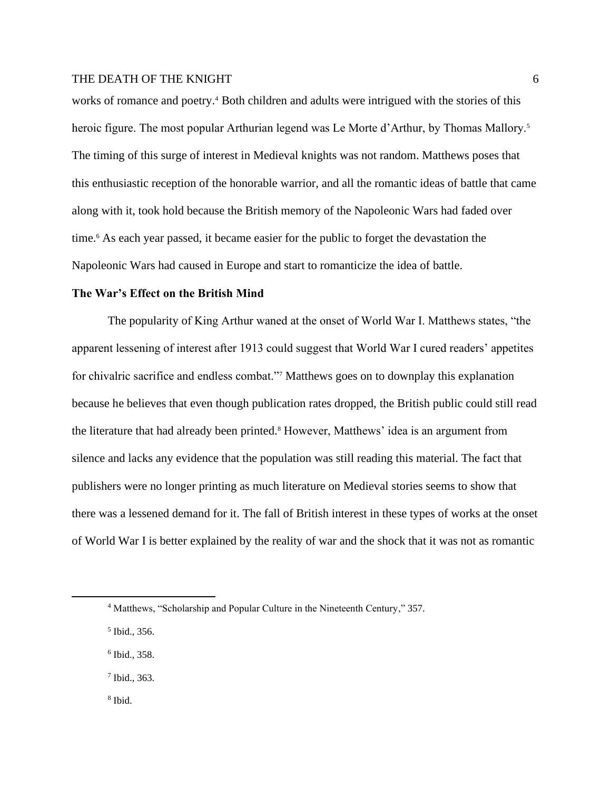works of romance and poetry.<sup>4</sup> Both children and adults were intrigued with the stories of this heroic figure. The most popular Arthurian legend was Le Morte d'Arthur, by Thomas Mallory.<sup>5</sup> The timing of this surge of interest in Medieval knights was not random. Matthews poses that this enthusiastic reception of the honorable warrior, and all the romantic ideas of battle that came along with it, took hold because the British memory of the Napoleonic Wars had faded over time.<sup>6</sup> As each year passed, it became easier for the public to forget the devastation the Napoleonic Wars had caused in Europe and start to romanticize the idea of battle.

#### **The War's Effect on the British Mind**

The popularity of King Arthur waned at the onset of World War I. Matthews states, "the apparent lessening of interest after 1913 could suggest that World War I cured readers' appetites for chivalric sacrifice and endless combat."<sup>7</sup> Matthews goes on to downplay this explanation because he believes that even though publication rates dropped, the British public could still read the literature that had already been printed.<sup>8</sup> However, Matthews' idea is an argument from silence and lacks any evidence that the population was still reading this material. The fact that publishers were no longer printing as much literature on Medieval stories seems to show that there was a lessened demand for it. The fall of British interest in these types of works at the onset of World War I is better explained by the reality of war and the shock that it was not as romantic

- 6 Ibid., 358.
- 7 Ibid., 363.
- 8 Ibid.

<sup>4</sup> Matthews, "Scholarship and Popular Culture in the Nineteenth Century," 357.

<sup>5</sup> Ibid., 356.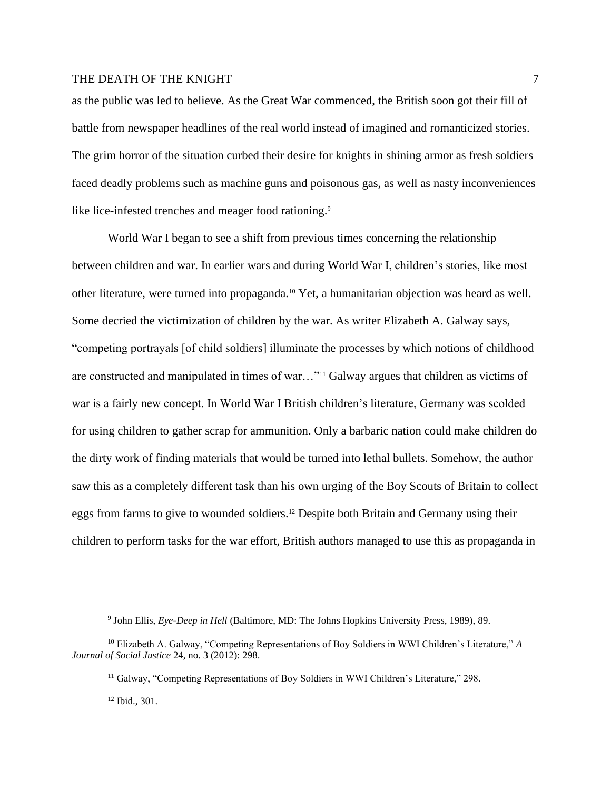as the public was led to believe. As the Great War commenced, the British soon got their fill of battle from newspaper headlines of the real world instead of imagined and romanticized stories. The grim horror of the situation curbed their desire for knights in shining armor as fresh soldiers faced deadly problems such as machine guns and poisonous gas, as well as nasty inconveniences like lice-infested trenches and meager food rationing.<sup>9</sup>

World War I began to see a shift from previous times concerning the relationship between children and war. In earlier wars and during World War I, children's stories, like most other literature, were turned into propaganda.<sup>10</sup> Yet, a humanitarian objection was heard as well. Some decried the victimization of children by the war. As writer Elizabeth A. Galway says, "competing portrayals [of child soldiers] illuminate the processes by which notions of childhood are constructed and manipulated in times of war..."<sup>11</sup> Galway argues that children as victims of war is a fairly new concept. In World War I British children's literature, Germany was scolded for using children to gather scrap for ammunition. Only a barbaric nation could make children do the dirty work of finding materials that would be turned into lethal bullets. Somehow, the author saw this as a completely different task than his own urging of the Boy Scouts of Britain to collect eggs from farms to give to wounded soldiers.<sup>12</sup> Despite both Britain and Germany using their children to perform tasks for the war effort, British authors managed to use this as propaganda in

<sup>12</sup> Ibid., 301.

<sup>9</sup> John Ellis, *Eye-Deep in Hell* (Baltimore, MD: The Johns Hopkins University Press, 1989), 89.

<sup>10</sup> Elizabeth A. Galway, "Competing Representations of Boy Soldiers in WWI Children's Literature," *A Journal of Social Justice* 24, no. 3 (2012): 298.

<sup>&</sup>lt;sup>11</sup> Galway, "Competing Representations of Boy Soldiers in WWI Children's Literature," 298.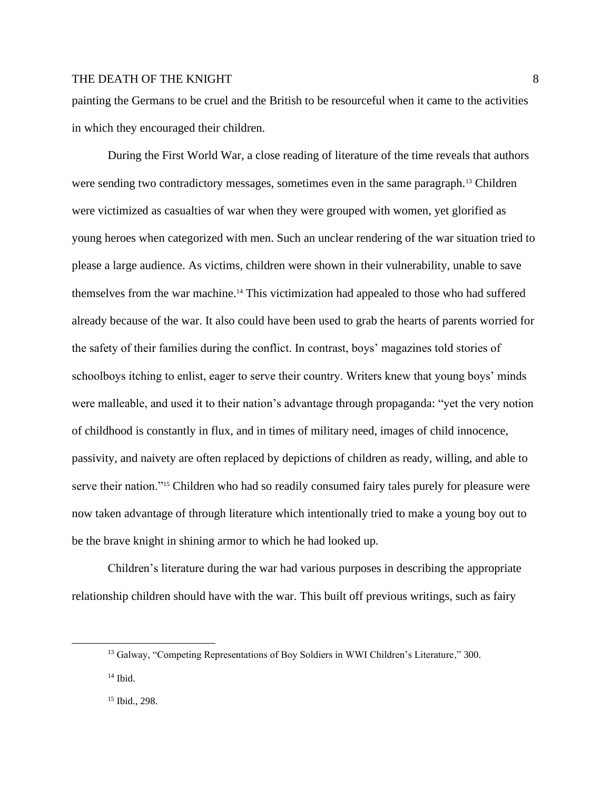painting the Germans to be cruel and the British to be resourceful when it came to the activities in which they encouraged their children.

During the First World War, a close reading of literature of the time reveals that authors were sending two contradictory messages, sometimes even in the same paragraph.<sup>13</sup> Children were victimized as casualties of war when they were grouped with women, yet glorified as young heroes when categorized with men. Such an unclear rendering of the war situation tried to please a large audience. As victims, children were shown in their vulnerability, unable to save themselves from the war machine.<sup>14</sup> This victimization had appealed to those who had suffered already because of the war. It also could have been used to grab the hearts of parents worried for the safety of their families during the conflict. In contrast, boys' magazines told stories of schoolboys itching to enlist, eager to serve their country. Writers knew that young boys' minds were malleable, and used it to their nation's advantage through propaganda: "yet the very notion of childhood is constantly in flux, and in times of military need, images of child innocence, passivity, and naivety are often replaced by depictions of children as ready, willing, and able to serve their nation."<sup>15</sup> Children who had so readily consumed fairy tales purely for pleasure were now taken advantage of through literature which intentionally tried to make a young boy out to be the brave knight in shining armor to which he had looked up.

Children's literature during the war had various purposes in describing the appropriate relationship children should have with the war. This built off previous writings, such as fairy

<sup>13</sup> Galway, "Competing Representations of Boy Soldiers in WWI Children's Literature," 300.

 $14$  Ibid.

<sup>15</sup> Ibid., 298.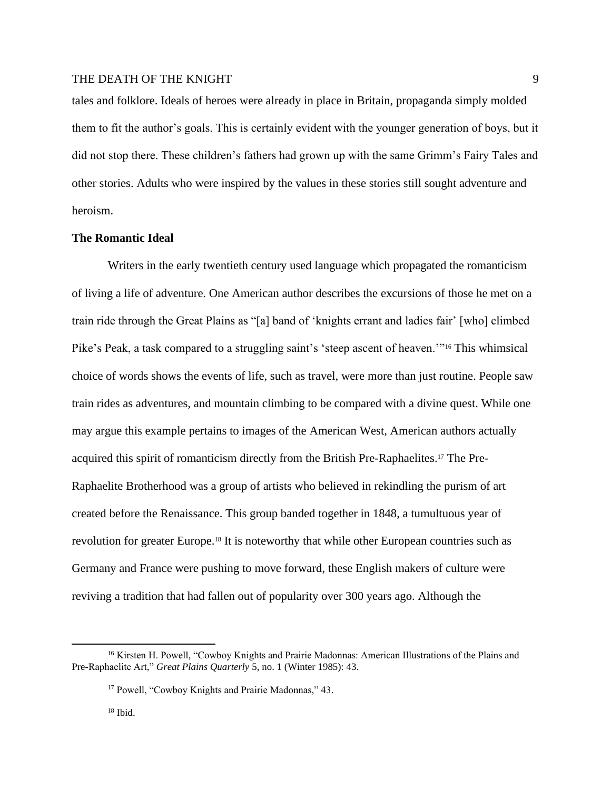tales and folklore. Ideals of heroes were already in place in Britain, propaganda simply molded them to fit the author's goals. This is certainly evident with the younger generation of boys, but it did not stop there. These children's fathers had grown up with the same Grimm's Fairy Tales and other stories. Adults who were inspired by the values in these stories still sought adventure and heroism.

# **The Romantic Ideal**

Writers in the early twentieth century used language which propagated the romanticism of living a life of adventure. One American author describes the excursions of those he met on a train ride through the Great Plains as "[a] band of 'knights errant and ladies fair' [who] climbed Pike's Peak, a task compared to a struggling saint's 'steep ascent of heaven.'"<sup>16</sup> This whimsical choice of words shows the events of life, such as travel, were more than just routine. People saw train rides as adventures, and mountain climbing to be compared with a divine quest. While one may argue this example pertains to images of the American West, American authors actually acquired this spirit of romanticism directly from the British Pre-Raphaelites.<sup>17</sup> The Pre-Raphaelite Brotherhood was a group of artists who believed in rekindling the purism of art created before the Renaissance. This group banded together in 1848, a tumultuous year of revolution for greater Europe.<sup>18</sup> It is noteworthy that while other European countries such as Germany and France were pushing to move forward, these English makers of culture were reviving a tradition that had fallen out of popularity over 300 years ago. Although the

<sup>&</sup>lt;sup>16</sup> Kirsten H. Powell, "Cowboy Knights and Prairie Madonnas: American Illustrations of the Plains and Pre-Raphaelite Art," *Great Plains Quarterly* 5, no. 1 (Winter 1985): 43.

<sup>17</sup> Powell, "Cowboy Knights and Prairie Madonnas," 43.

 $18$  Ibid.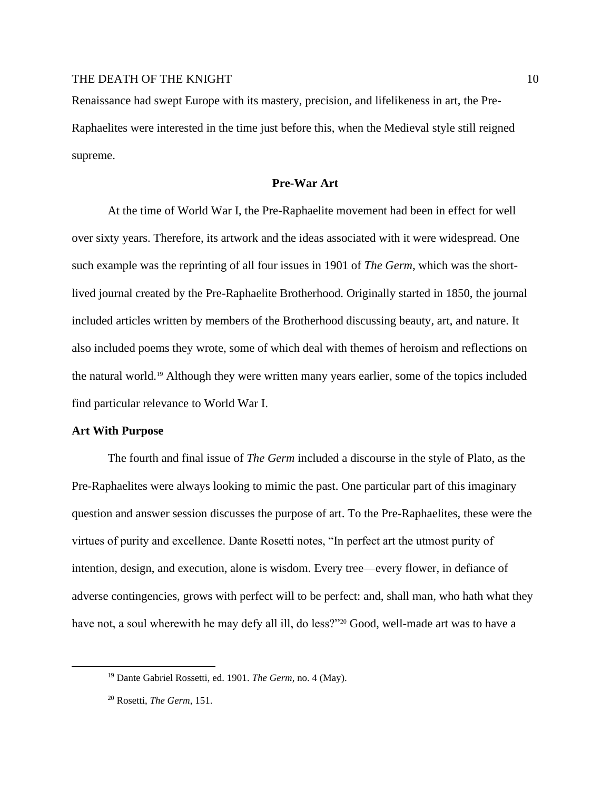Renaissance had swept Europe with its mastery, precision, and lifelikeness in art, the Pre-Raphaelites were interested in the time just before this, when the Medieval style still reigned supreme.

#### **Pre-War Art**

At the time of World War I, the Pre-Raphaelite movement had been in effect for well over sixty years. Therefore, its artwork and the ideas associated with it were widespread. One such example was the reprinting of all four issues in 1901 of *The Germ*, which was the shortlived journal created by the Pre-Raphaelite Brotherhood. Originally started in 1850, the journal included articles written by members of the Brotherhood discussing beauty, art, and nature. It also included poems they wrote, some of which deal with themes of heroism and reflections on the natural world.<sup>19</sup> Although they were written many years earlier, some of the topics included find particular relevance to World War I.

#### **Art With Purpose**

The fourth and final issue of *The Germ* included a discourse in the style of Plato, as the Pre-Raphaelites were always looking to mimic the past. One particular part of this imaginary question and answer session discusses the purpose of art. To the Pre-Raphaelites, these were the virtues of purity and excellence. Dante Rosetti notes, "In perfect art the utmost purity of intention, design, and execution, alone is wisdom. Every tree—every flower, in defiance of adverse contingencies, grows with perfect will to be perfect: and, shall man, who hath what they have not, a soul wherewith he may defy all ill, do less?"<sup>20</sup> Good, well-made art was to have a

<sup>19</sup> Dante Gabriel Rossetti, ed. 1901. *The Germ*, no. 4 (May).

<sup>20</sup> Rosetti, *The Germ*, 151.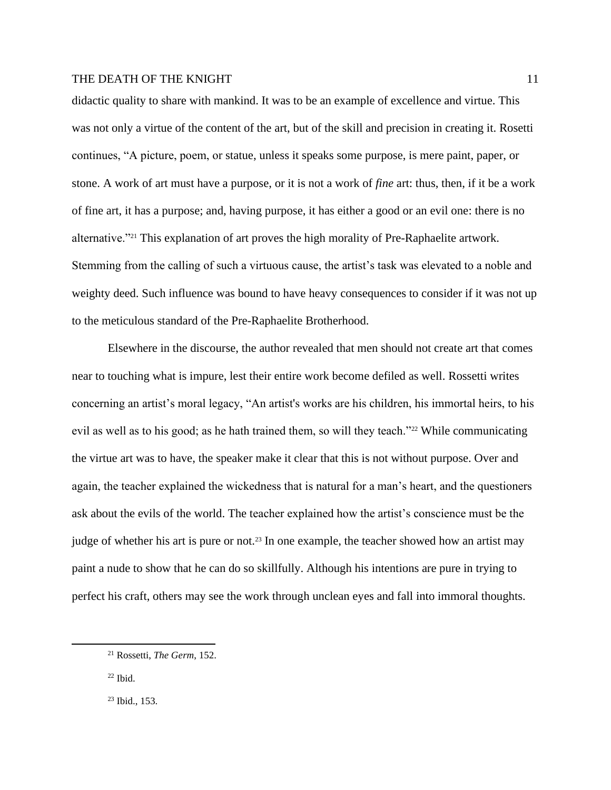didactic quality to share with mankind. It was to be an example of excellence and virtue. This was not only a virtue of the content of the art, but of the skill and precision in creating it. Rosetti continues, "A picture, poem, or statue, unless it speaks some purpose, is mere paint, paper, or stone. A work of art must have a purpose, or it is not a work of *fine* art: thus, then, if it be a work of fine art, it has a purpose; and, having purpose, it has either a good or an evil one: there is no alternative."<sup>21</sup> This explanation of art proves the high morality of Pre-Raphaelite artwork. Stemming from the calling of such a virtuous cause, the artist's task was elevated to a noble and weighty deed. Such influence was bound to have heavy consequences to consider if it was not up to the meticulous standard of the Pre-Raphaelite Brotherhood.

Elsewhere in the discourse, the author revealed that men should not create art that comes near to touching what is impure, lest their entire work become defiled as well. Rossetti writes concerning an artist's moral legacy, "An artist's works are his children, his immortal heirs, to his evil as well as to his good; as he hath trained them, so will they teach."<sup>22</sup> While communicating the virtue art was to have, the speaker make it clear that this is not without purpose. Over and again, the teacher explained the wickedness that is natural for a man's heart, and the questioners ask about the evils of the world. The teacher explained how the artist's conscience must be the judge of whether his art is pure or not.<sup>23</sup> In one example, the teacher showed how an artist may paint a nude to show that he can do so skillfully. Although his intentions are pure in trying to perfect his craft, others may see the work through unclean eyes and fall into immoral thoughts.

 $22$  Ibid.

<sup>23</sup> Ibid., 153.

<sup>21</sup> Rossetti, *The Germ*, 152.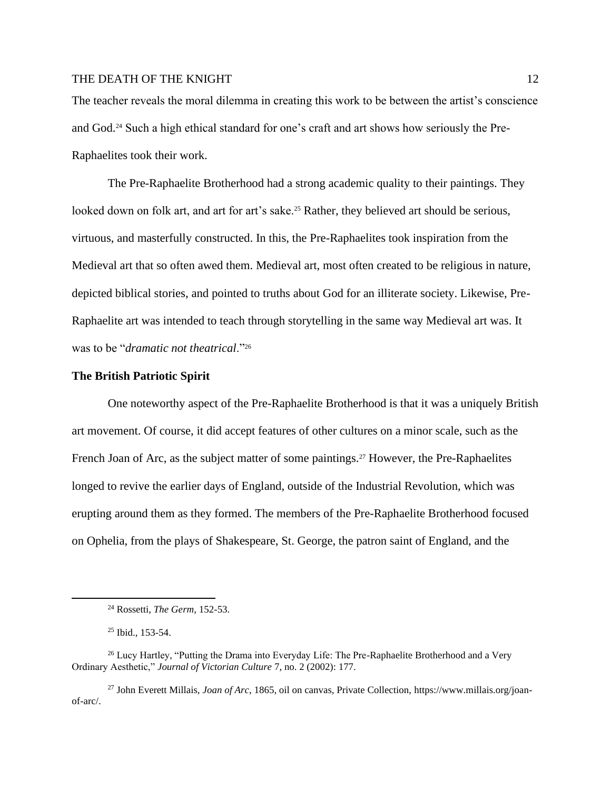The teacher reveals the moral dilemma in creating this work to be between the artist's conscience and God.<sup>24</sup> Such a high ethical standard for one's craft and art shows how seriously the Pre-Raphaelites took their work.

The Pre-Raphaelite Brotherhood had a strong academic quality to their paintings. They looked down on folk art, and art for art's sake.<sup>25</sup> Rather, they believed art should be serious, virtuous, and masterfully constructed. In this, the Pre-Raphaelites took inspiration from the Medieval art that so often awed them. Medieval art, most often created to be religious in nature, depicted biblical stories, and pointed to truths about God for an illiterate society. Likewise, Pre-Raphaelite art was intended to teach through storytelling in the same way Medieval art was. It was to be "*dramatic not theatrical*."<sup>26</sup>

#### **The British Patriotic Spirit**

One noteworthy aspect of the Pre-Raphaelite Brotherhood is that it was a uniquely British art movement. Of course, it did accept features of other cultures on a minor scale, such as the French Joan of Arc, as the subject matter of some paintings.<sup>27</sup> However, the Pre-Raphaelites longed to revive the earlier days of England, outside of the Industrial Revolution, which was erupting around them as they formed. The members of the Pre-Raphaelite Brotherhood focused on Ophelia, from the plays of Shakespeare, St. George, the patron saint of England, and the

<sup>24</sup> Rossetti, *The Germ,* 152-53.

<sup>25</sup> Ibid., 153-54.

<sup>&</sup>lt;sup>26</sup> Lucy Hartley, "Putting the Drama into Everyday Life: The Pre-Raphaelite Brotherhood and a Very Ordinary Aesthetic," *Journal of Victorian Culture* 7, no. 2 (2002): 177.

<sup>27</sup> John Everett Millais, *Joan of Arc*, 1865, oil on canvas, Private Collection, https://www.millais.org/joanof-arc/.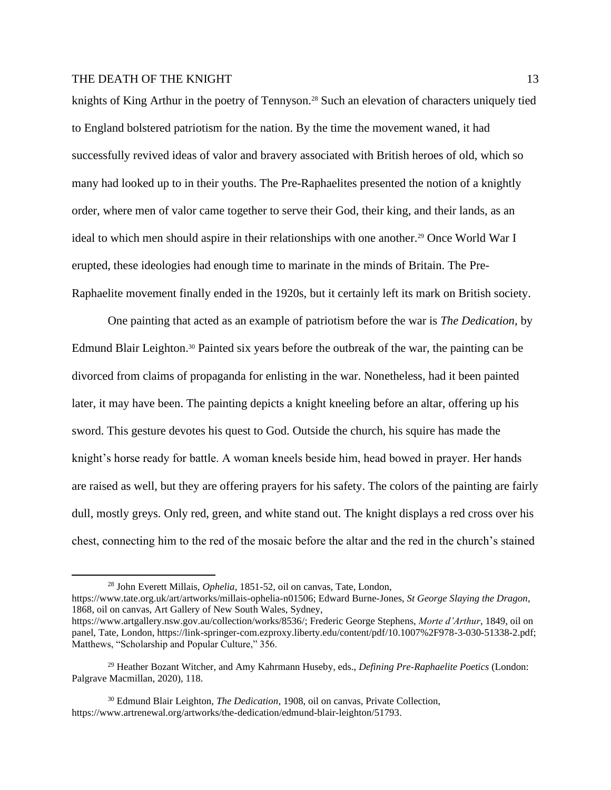knights of King Arthur in the poetry of Tennyson.<sup>28</sup> Such an elevation of characters uniquely tied to England bolstered patriotism for the nation. By the time the movement waned, it had successfully revived ideas of valor and bravery associated with British heroes of old, which so many had looked up to in their youths. The Pre-Raphaelites presented the notion of a knightly order, where men of valor came together to serve their God, their king, and their lands, as an ideal to which men should aspire in their relationships with one another.<sup>29</sup> Once World War I erupted, these ideologies had enough time to marinate in the minds of Britain. The Pre-Raphaelite movement finally ended in the 1920s, but it certainly left its mark on British society.

One painting that acted as an example of patriotism before the war is *The Dedication*, by Edmund Blair Leighton.<sup>30</sup> Painted six years before the outbreak of the war, the painting can be divorced from claims of propaganda for enlisting in the war. Nonetheless, had it been painted later, it may have been. The painting depicts a knight kneeling before an altar, offering up his sword. This gesture devotes his quest to God. Outside the church, his squire has made the knight's horse ready for battle. A woman kneels beside him, head bowed in prayer. Her hands are raised as well, but they are offering prayers for his safety. The colors of the painting are fairly dull, mostly greys. Only red, green, and white stand out. The knight displays a red cross over his chest, connecting him to the red of the mosaic before the altar and the red in the church's stained

https://www.tate.org.uk/art/artworks/millais-ophelia-n01506; Edward Burne-Jones, *St George Slaying the Dragon*, 1868, oil on canvas, Art Gallery of New South Wales, Sydney,

<sup>28</sup> John Everett Millais, *Ophelia*, 1851-52, oil on canvas, Tate, London,

https://www.artgallery.nsw.gov.au/collection/works/8536/; Frederic George Stephens, *Morte d'Arthur*, 1849, oil on panel, Tate, London, https://link-springer-com.ezproxy.liberty.edu/content/pdf/10.1007%2F978-3-030-51338-2.pdf; Matthews, "Scholarship and Popular Culture," 356.

<sup>29</sup> Heather Bozant Witcher, and Amy Kahrmann Huseby, eds., *Defining Pre-Raphaelite Poetics* (London: Palgrave Macmillan, 2020), 118.

<sup>30</sup> Edmund Blair Leighton, *The Dedication*, 1908, oil on canvas, Private Collection, https://www.artrenewal.org/artworks/the-dedication/edmund-blair-leighton/51793.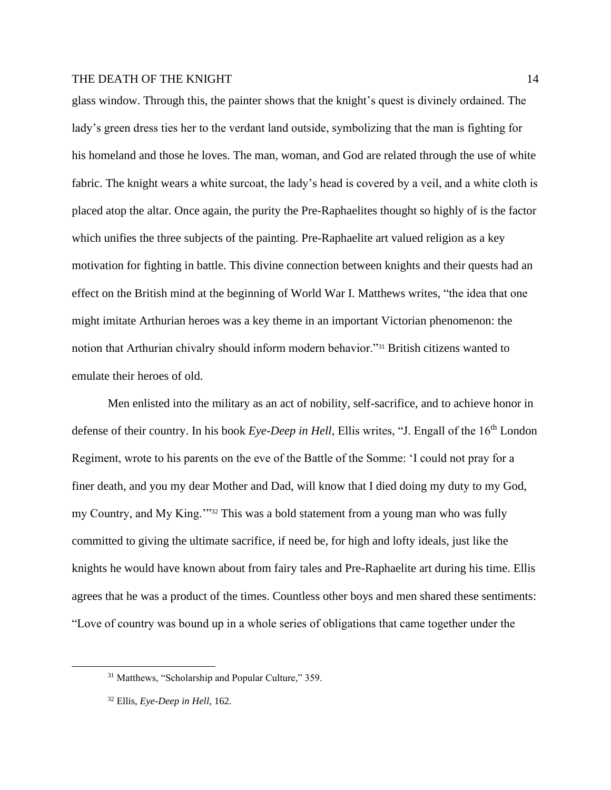glass window. Through this, the painter shows that the knight's quest is divinely ordained. The lady's green dress ties her to the verdant land outside, symbolizing that the man is fighting for his homeland and those he loves. The man, woman, and God are related through the use of white fabric. The knight wears a white surcoat, the lady's head is covered by a veil, and a white cloth is placed atop the altar. Once again, the purity the Pre-Raphaelites thought so highly of is the factor which unifies the three subjects of the painting. Pre-Raphaelite art valued religion as a key motivation for fighting in battle. This divine connection between knights and their quests had an effect on the British mind at the beginning of World War I. Matthews writes, "the idea that one might imitate Arthurian heroes was a key theme in an important Victorian phenomenon: the notion that Arthurian chivalry should inform modern behavior."<sup>31</sup> British citizens wanted to emulate their heroes of old.

Men enlisted into the military as an act of nobility, self-sacrifice, and to achieve honor in defense of their country. In his book *Eye-Deep in Hell*, Ellis writes, "J. Engall of the 16<sup>th</sup> London Regiment, wrote to his parents on the eve of the Battle of the Somme: 'I could not pray for a finer death, and you my dear Mother and Dad, will know that I died doing my duty to my God, my Country, and My King.'"<sup>32</sup> This was a bold statement from a young man who was fully committed to giving the ultimate sacrifice, if need be, for high and lofty ideals, just like the knights he would have known about from fairy tales and Pre-Raphaelite art during his time. Ellis agrees that he was a product of the times. Countless other boys and men shared these sentiments: "Love of country was bound up in a whole series of obligations that came together under the

<sup>31</sup> Matthews, "Scholarship and Popular Culture," 359.

<sup>32</sup> Ellis, *Eye-Deep in Hell*, 162.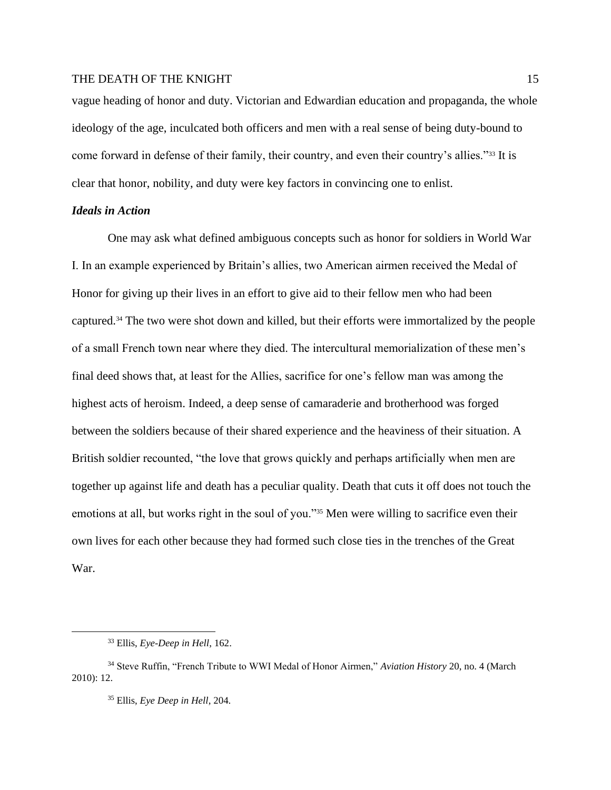vague heading of honor and duty. Victorian and Edwardian education and propaganda, the whole ideology of the age, inculcated both officers and men with a real sense of being duty-bound to come forward in defense of their family, their country, and even their country's allies."<sup>33</sup> It is clear that honor, nobility, and duty were key factors in convincing one to enlist.

#### *Ideals in Action*

One may ask what defined ambiguous concepts such as honor for soldiers in World War I. In an example experienced by Britain's allies, two American airmen received the Medal of Honor for giving up their lives in an effort to give aid to their fellow men who had been captured.<sup>34</sup> The two were shot down and killed, but their efforts were immortalized by the people of a small French town near where they died. The intercultural memorialization of these men's final deed shows that, at least for the Allies, sacrifice for one's fellow man was among the highest acts of heroism. Indeed, a deep sense of camaraderie and brotherhood was forged between the soldiers because of their shared experience and the heaviness of their situation. A British soldier recounted, "the love that grows quickly and perhaps artificially when men are together up against life and death has a peculiar quality. Death that cuts it off does not touch the emotions at all, but works right in the soul of you."<sup>35</sup> Men were willing to sacrifice even their own lives for each other because they had formed such close ties in the trenches of the Great War.

<sup>33</sup> Ellis, *Eye-Deep in Hell*, 162.

<sup>34</sup> Steve Ruffin, "French Tribute to WWI Medal of Honor Airmen," *Aviation History* 20, no. 4 (March 2010): 12.

<sup>35</sup> Ellis, *Eye Deep in Hell*, 204.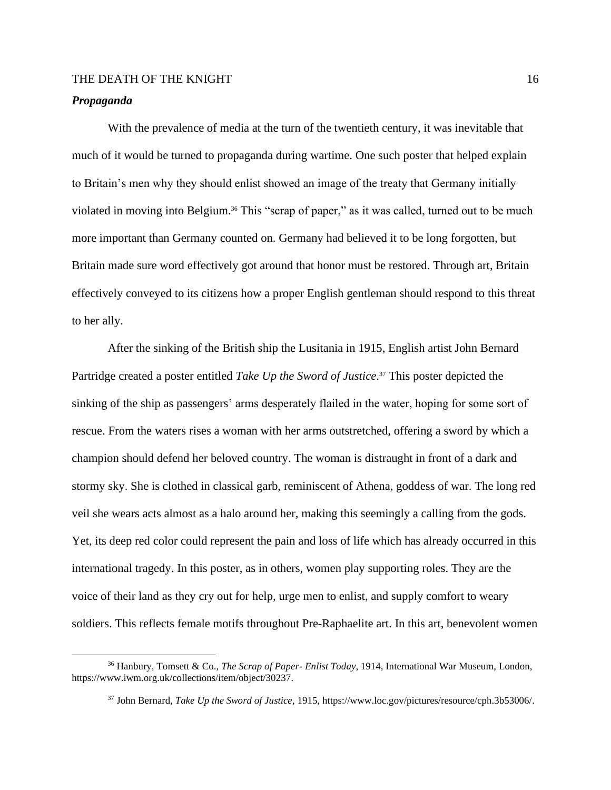#### *Propaganda*

With the prevalence of media at the turn of the twentieth century, it was inevitable that much of it would be turned to propaganda during wartime. One such poster that helped explain to Britain's men why they should enlist showed an image of the treaty that Germany initially violated in moving into Belgium.<sup>36</sup> This "scrap of paper," as it was called, turned out to be much more important than Germany counted on. Germany had believed it to be long forgotten, but Britain made sure word effectively got around that honor must be restored. Through art, Britain effectively conveyed to its citizens how a proper English gentleman should respond to this threat to her ally.

After the sinking of the British ship the Lusitania in 1915, English artist John Bernard Partridge created a poster entitled *Take Up the Sword of Justice*. <sup>37</sup> This poster depicted the sinking of the ship as passengers' arms desperately flailed in the water, hoping for some sort of rescue. From the waters rises a woman with her arms outstretched, offering a sword by which a champion should defend her beloved country. The woman is distraught in front of a dark and stormy sky. She is clothed in classical garb, reminiscent of Athena, goddess of war. The long red veil she wears acts almost as a halo around her, making this seemingly a calling from the gods. Yet, its deep red color could represent the pain and loss of life which has already occurred in this international tragedy. In this poster, as in others, women play supporting roles. They are the voice of their land as they cry out for help, urge men to enlist, and supply comfort to weary soldiers. This reflects female motifs throughout Pre-Raphaelite art. In this art, benevolent women

<sup>36</sup> Hanbury, Tomsett & Co., *The Scrap of Paper- Enlist Today*, 1914, International War Museum, London, https://www.iwm.org.uk/collections/item/object/30237.

<sup>37</sup> John Bernard, *Take Up the Sword of Justice*, 1915, https://www.loc.gov/pictures/resource/cph.3b53006/.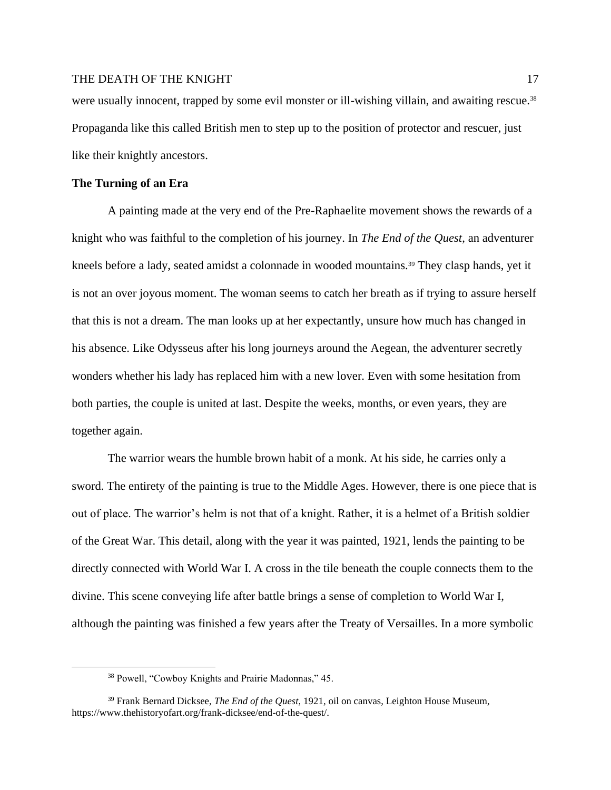were usually innocent, trapped by some evil monster or ill-wishing villain, and awaiting rescue.<sup>38</sup> Propaganda like this called British men to step up to the position of protector and rescuer, just like their knightly ancestors.

#### **The Turning of an Era**

A painting made at the very end of the Pre-Raphaelite movement shows the rewards of a knight who was faithful to the completion of his journey. In *The End of the Quest*, an adventurer kneels before a lady, seated amidst a colonnade in wooded mountains.<sup>39</sup> They clasp hands, yet it is not an over joyous moment. The woman seems to catch her breath as if trying to assure herself that this is not a dream. The man looks up at her expectantly, unsure how much has changed in his absence. Like Odysseus after his long journeys around the Aegean, the adventurer secretly wonders whether his lady has replaced him with a new lover. Even with some hesitation from both parties, the couple is united at last. Despite the weeks, months, or even years, they are together again.

The warrior wears the humble brown habit of a monk. At his side, he carries only a sword. The entirety of the painting is true to the Middle Ages. However, there is one piece that is out of place. The warrior's helm is not that of a knight. Rather, it is a helmet of a British soldier of the Great War. This detail, along with the year it was painted, 1921, lends the painting to be directly connected with World War I. A cross in the tile beneath the couple connects them to the divine. This scene conveying life after battle brings a sense of completion to World War I, although the painting was finished a few years after the Treaty of Versailles. In a more symbolic

<sup>38</sup> Powell, "Cowboy Knights and Prairie Madonnas," 45.

<sup>39</sup> Frank Bernard Dicksee, *The End of the Quest*, 1921, oil on canvas, Leighton House Museum, https://www.thehistoryofart.org/frank-dicksee/end-of-the-quest/.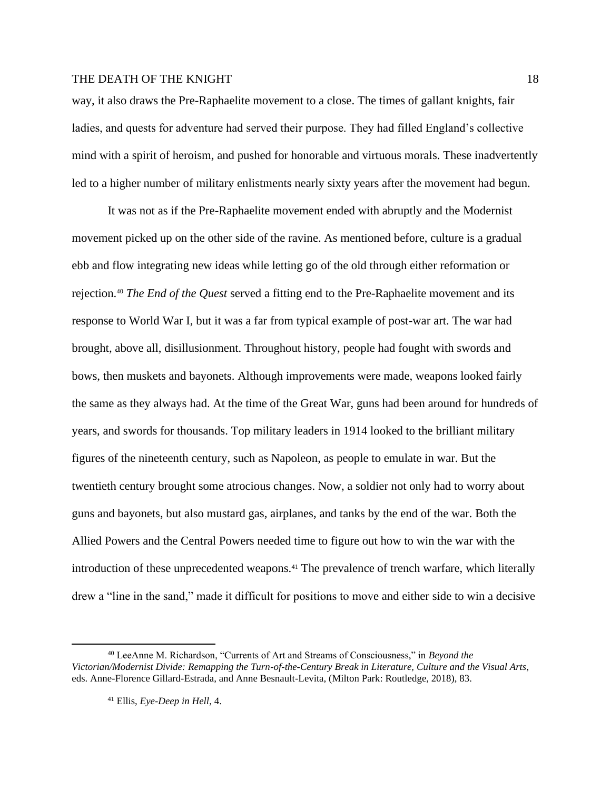way, it also draws the Pre-Raphaelite movement to a close. The times of gallant knights, fair ladies, and quests for adventure had served their purpose. They had filled England's collective mind with a spirit of heroism, and pushed for honorable and virtuous morals. These inadvertently led to a higher number of military enlistments nearly sixty years after the movement had begun.

It was not as if the Pre-Raphaelite movement ended with abruptly and the Modernist movement picked up on the other side of the ravine. As mentioned before, culture is a gradual ebb and flow integrating new ideas while letting go of the old through either reformation or rejection.<sup>40</sup> *The End of the Quest* served a fitting end to the Pre-Raphaelite movement and its response to World War I, but it was a far from typical example of post-war art. The war had brought, above all, disillusionment. Throughout history, people had fought with swords and bows, then muskets and bayonets. Although improvements were made, weapons looked fairly the same as they always had. At the time of the Great War, guns had been around for hundreds of years, and swords for thousands. Top military leaders in 1914 looked to the brilliant military figures of the nineteenth century, such as Napoleon, as people to emulate in war. But the twentieth century brought some atrocious changes. Now, a soldier not only had to worry about guns and bayonets, but also mustard gas, airplanes, and tanks by the end of the war. Both the Allied Powers and the Central Powers needed time to figure out how to win the war with the introduction of these unprecedented weapons.<sup>41</sup> The prevalence of trench warfare, which literally drew a "line in the sand," made it difficult for positions to move and either side to win a decisive

<sup>40</sup> LeeAnne M. Richardson, "Currents of Art and Streams of Consciousness," in *Beyond the Victorian/Modernist Divide: Remapping the Turn-of-the-Century Break in Literature, Culture and the Visual Arts*, eds. Anne-Florence Gillard-Estrada, and Anne Besnault-Levita, (Milton Park: Routledge, 2018), 83.

<sup>41</sup> Ellis, *Eye-Deep in Hell*, 4.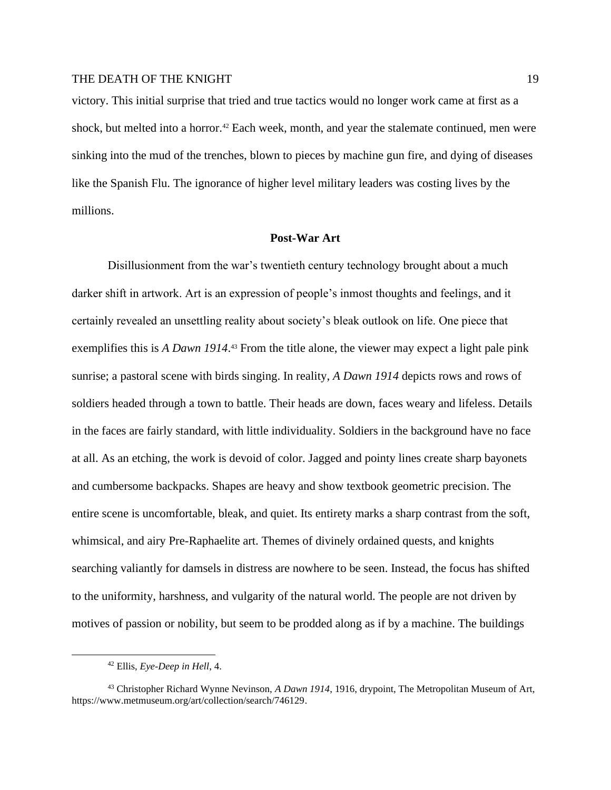victory. This initial surprise that tried and true tactics would no longer work came at first as a shock, but melted into a horror.<sup>42</sup> Each week, month, and year the stalemate continued, men were sinking into the mud of the trenches, blown to pieces by machine gun fire, and dying of diseases like the Spanish Flu. The ignorance of higher level military leaders was costing lives by the millions.

#### **Post-War Art**

Disillusionment from the war's twentieth century technology brought about a much darker shift in artwork. Art is an expression of people's inmost thoughts and feelings, and it certainly revealed an unsettling reality about society's bleak outlook on life. One piece that exemplifies this is *A Dawn 1914*.<sup>43</sup> From the title alone, the viewer may expect a light pale pink sunrise; a pastoral scene with birds singing. In reality, *A Dawn 1914* depicts rows and rows of soldiers headed through a town to battle. Their heads are down, faces weary and lifeless. Details in the faces are fairly standard, with little individuality. Soldiers in the background have no face at all. As an etching, the work is devoid of color. Jagged and pointy lines create sharp bayonets and cumbersome backpacks. Shapes are heavy and show textbook geometric precision. The entire scene is uncomfortable, bleak, and quiet. Its entirety marks a sharp contrast from the soft, whimsical, and airy Pre-Raphaelite art. Themes of divinely ordained quests, and knights searching valiantly for damsels in distress are nowhere to be seen. Instead, the focus has shifted to the uniformity, harshness, and vulgarity of the natural world. The people are not driven by motives of passion or nobility, but seem to be prodded along as if by a machine. The buildings

<sup>42</sup> Ellis, *Eye-Deep in Hell*, 4.

<sup>43</sup> Christopher Richard Wynne Nevinson, *A Dawn 1914*, 1916, drypoint, The Metropolitan Museum of Art, https://www.metmuseum.org/art/collection/search/746129.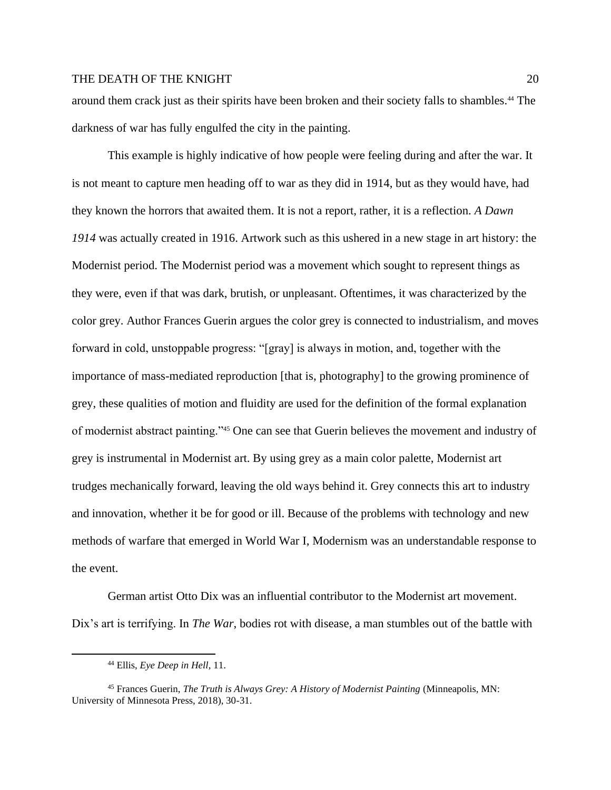around them crack just as their spirits have been broken and their society falls to shambles.<sup>44</sup> The darkness of war has fully engulfed the city in the painting.

This example is highly indicative of how people were feeling during and after the war. It is not meant to capture men heading off to war as they did in 1914, but as they would have, had they known the horrors that awaited them. It is not a report, rather, it is a reflection. *A Dawn 1914* was actually created in 1916. Artwork such as this ushered in a new stage in art history: the Modernist period. The Modernist period was a movement which sought to represent things as they were, even if that was dark, brutish, or unpleasant. Oftentimes, it was characterized by the color grey. Author Frances Guerin argues the color grey is connected to industrialism, and moves forward in cold, unstoppable progress: "[gray] is always in motion, and, together with the importance of mass-mediated reproduction [that is, photography] to the growing prominence of grey, these qualities of motion and fluidity are used for the definition of the formal explanation of modernist abstract painting."<sup>45</sup> One can see that Guerin believes the movement and industry of grey is instrumental in Modernist art. By using grey as a main color palette, Modernist art trudges mechanically forward, leaving the old ways behind it. Grey connects this art to industry and innovation, whether it be for good or ill. Because of the problems with technology and new methods of warfare that emerged in World War I, Modernism was an understandable response to the event.

German artist Otto Dix was an influential contributor to the Modernist art movement. Dix's art is terrifying. In *The War*, bodies rot with disease, a man stumbles out of the battle with

<sup>44</sup> Ellis, *Eye Deep in Hell*, 11.

<sup>45</sup> Frances Guerin, *The Truth is Always Grey: A History of Modernist Painting* (Minneapolis, MN: University of Minnesota Press, 2018), 30-31.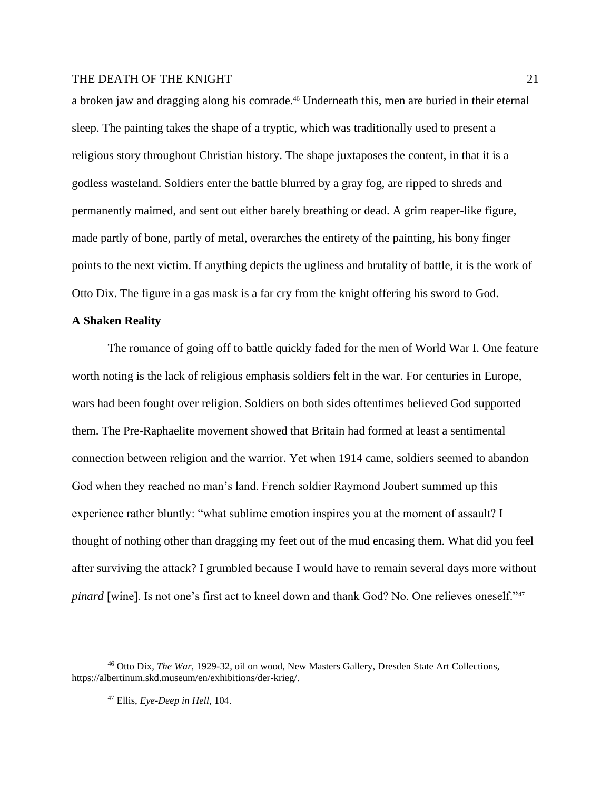a broken jaw and dragging along his comrade.<sup>46</sup> Underneath this, men are buried in their eternal sleep. The painting takes the shape of a tryptic, which was traditionally used to present a religious story throughout Christian history. The shape juxtaposes the content, in that it is a godless wasteland. Soldiers enter the battle blurred by a gray fog, are ripped to shreds and permanently maimed, and sent out either barely breathing or dead. A grim reaper-like figure, made partly of bone, partly of metal, overarches the entirety of the painting, his bony finger points to the next victim. If anything depicts the ugliness and brutality of battle, it is the work of Otto Dix. The figure in a gas mask is a far cry from the knight offering his sword to God.

#### **A Shaken Reality**

The romance of going off to battle quickly faded for the men of World War I. One feature worth noting is the lack of religious emphasis soldiers felt in the war. For centuries in Europe, wars had been fought over religion. Soldiers on both sides oftentimes believed God supported them. The Pre-Raphaelite movement showed that Britain had formed at least a sentimental connection between religion and the warrior. Yet when 1914 came, soldiers seemed to abandon God when they reached no man's land. French soldier Raymond Joubert summed up this experience rather bluntly: "what sublime emotion inspires you at the moment of assault? I thought of nothing other than dragging my feet out of the mud encasing them. What did you feel after surviving the attack? I grumbled because I would have to remain several days more without *pinard* [wine]. Is not one's first act to kneel down and thank God? No. One relieves oneself."47

<sup>46</sup> Otto Dix, *The War*, 1929-32, oil on wood, New Masters Gallery, Dresden State Art Collections, https://albertinum.skd.museum/en/exhibitions/der-krieg/.

<sup>47</sup> Ellis, *Eye-Deep in Hell*, 104.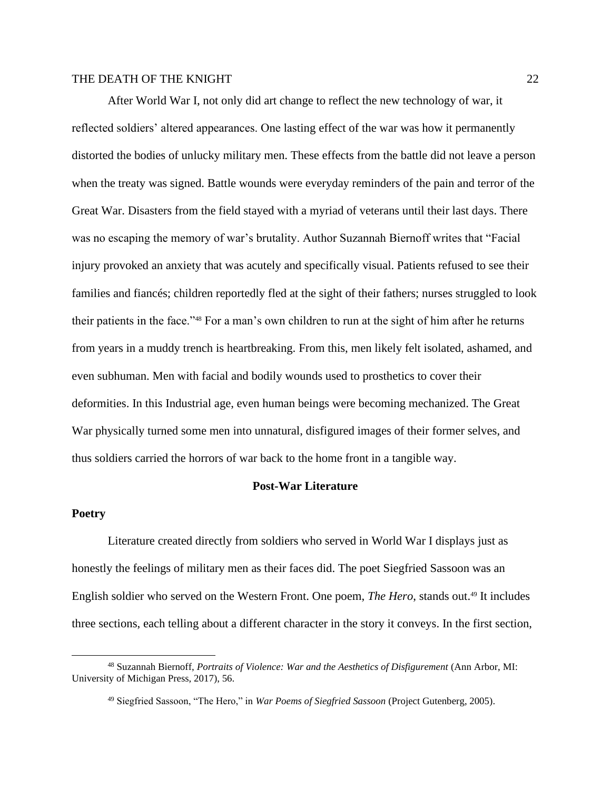After World War I, not only did art change to reflect the new technology of war, it reflected soldiers' altered appearances. One lasting effect of the war was how it permanently distorted the bodies of unlucky military men. These effects from the battle did not leave a person when the treaty was signed. Battle wounds were everyday reminders of the pain and terror of the Great War. Disasters from the field stayed with a myriad of veterans until their last days. There was no escaping the memory of war's brutality. Author Suzannah Biernoff writes that "Facial injury provoked an anxiety that was acutely and specifically visual. Patients refused to see their families and fiancés; children reportedly fled at the sight of their fathers; nurses struggled to look their patients in the face."<sup>48</sup> For a man's own children to run at the sight of him after he returns from years in a muddy trench is heartbreaking. From this, men likely felt isolated, ashamed, and even subhuman. Men with facial and bodily wounds used to prosthetics to cover their deformities. In this Industrial age, even human beings were becoming mechanized. The Great War physically turned some men into unnatural, disfigured images of their former selves, and thus soldiers carried the horrors of war back to the home front in a tangible way.

#### **Post-War Literature**

#### **Poetry**

Literature created directly from soldiers who served in World War I displays just as honestly the feelings of military men as their faces did. The poet Siegfried Sassoon was an English soldier who served on the Western Front. One poem, *The Hero*, stands out. <sup>49</sup> It includes three sections, each telling about a different character in the story it conveys. In the first section,

<sup>48</sup> Suzannah Biernoff, *Portraits of Violence: War and the Aesthetics of Disfigurement* (Ann Arbor, MI: University of Michigan Press, 2017), 56.

<sup>49</sup> Siegfried Sassoon, "The Hero," in *War Poems of Siegfried Sassoon* (Project Gutenberg, 2005).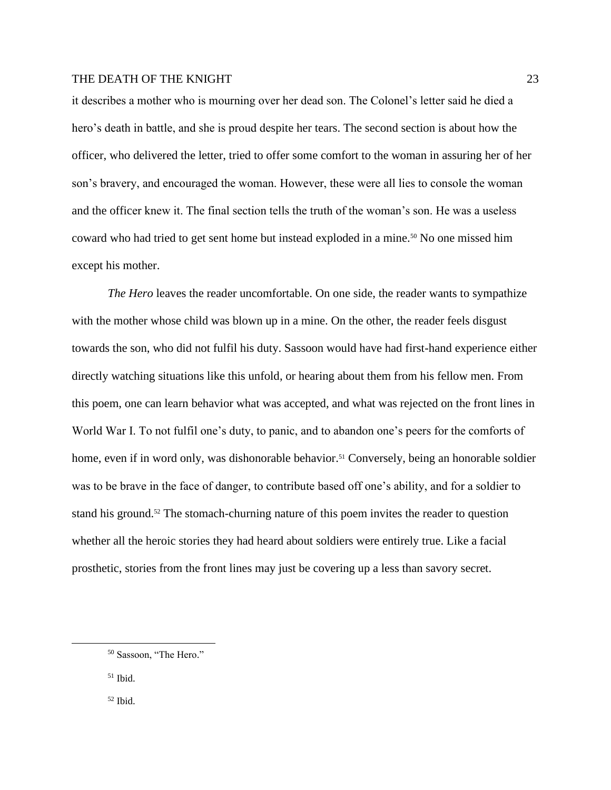it describes a mother who is mourning over her dead son. The Colonel's letter said he died a hero's death in battle, and she is proud despite her tears. The second section is about how the officer, who delivered the letter, tried to offer some comfort to the woman in assuring her of her son's bravery, and encouraged the woman. However, these were all lies to console the woman and the officer knew it. The final section tells the truth of the woman's son. He was a useless coward who had tried to get sent home but instead exploded in a mine.<sup>50</sup> No one missed him except his mother.

*The Hero* leaves the reader uncomfortable. On one side, the reader wants to sympathize with the mother whose child was blown up in a mine. On the other, the reader feels disgust towards the son, who did not fulfil his duty. Sassoon would have had first-hand experience either directly watching situations like this unfold, or hearing about them from his fellow men. From this poem, one can learn behavior what was accepted, and what was rejected on the front lines in World War I. To not fulfil one's duty, to panic, and to abandon one's peers for the comforts of home, even if in word only, was dishonorable behavior.<sup>51</sup> Conversely, being an honorable soldier was to be brave in the face of danger, to contribute based off one's ability, and for a soldier to stand his ground.<sup>52</sup> The stomach-churning nature of this poem invites the reader to question whether all the heroic stories they had heard about soldiers were entirely true. Like a facial prosthetic, stories from the front lines may just be covering up a less than savory secret.

<sup>52</sup> Ibid.

<sup>50</sup> Sassoon, "The Hero."

 $51$  Ibid.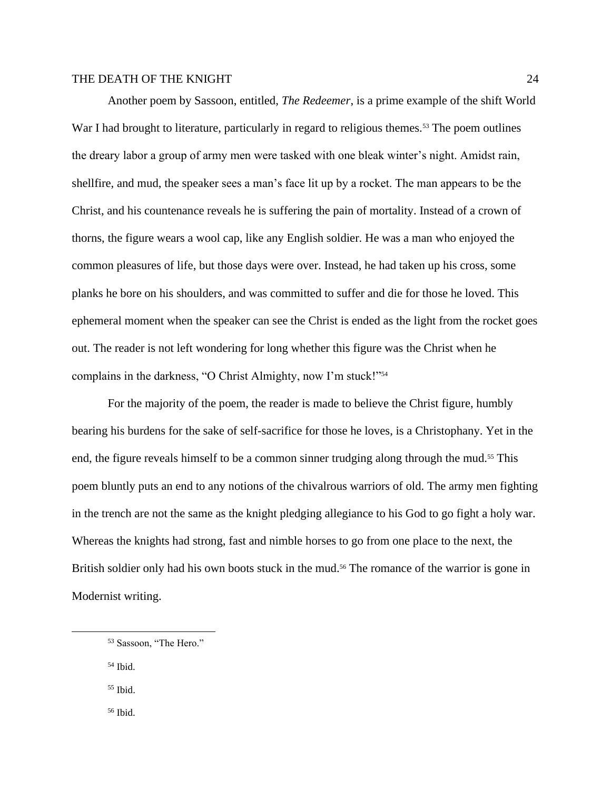Another poem by Sassoon, entitled, *The Redeemer*, is a prime example of the shift World War I had brought to literature, particularly in regard to religious themes.<sup>53</sup> The poem outlines the dreary labor a group of army men were tasked with one bleak winter's night. Amidst rain, shellfire, and mud, the speaker sees a man's face lit up by a rocket. The man appears to be the Christ, and his countenance reveals he is suffering the pain of mortality. Instead of a crown of thorns, the figure wears a wool cap, like any English soldier. He was a man who enjoyed the common pleasures of life, but those days were over. Instead, he had taken up his cross, some planks he bore on his shoulders, and was committed to suffer and die for those he loved. This ephemeral moment when the speaker can see the Christ is ended as the light from the rocket goes out. The reader is not left wondering for long whether this figure was the Christ when he complains in the darkness, "O Christ Almighty, now I'm stuck!"<sup>54</sup>

For the majority of the poem, the reader is made to believe the Christ figure, humbly bearing his burdens for the sake of self-sacrifice for those he loves, is a Christophany. Yet in the end, the figure reveals himself to be a common sinner trudging along through the mud.<sup>55</sup> This poem bluntly puts an end to any notions of the chivalrous warriors of old. The army men fighting in the trench are not the same as the knight pledging allegiance to his God to go fight a holy war. Whereas the knights had strong, fast and nimble horses to go from one place to the next, the British soldier only had his own boots stuck in the mud.<sup>56</sup> The romance of the warrior is gone in Modernist writing.

<sup>54</sup> Ibid.

<sup>55</sup> Ibid.

<sup>56</sup> Ibid.

<sup>53</sup> Sassoon, "The Hero."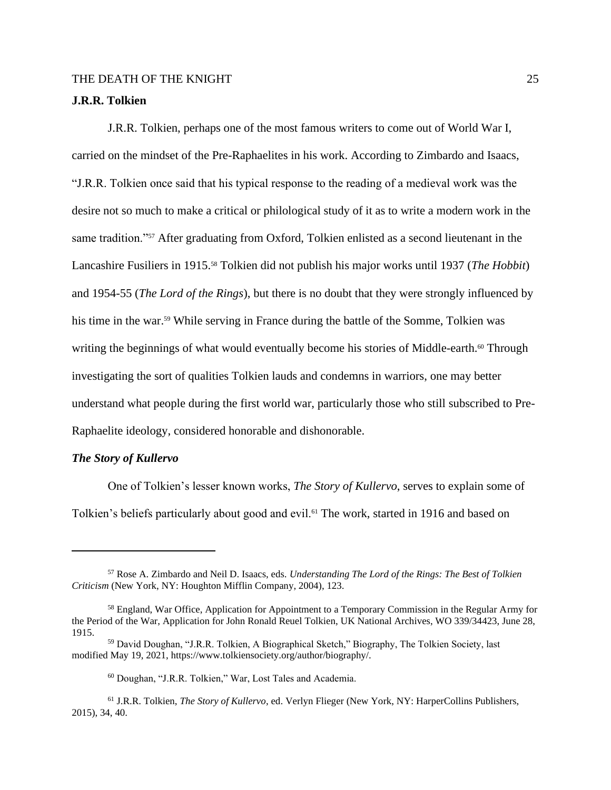#### **J.R.R. Tolkien**

J.R.R. Tolkien, perhaps one of the most famous writers to come out of World War I, carried on the mindset of the Pre-Raphaelites in his work. According to Zimbardo and Isaacs, "J.R.R. Tolkien once said that his typical response to the reading of a medieval work was the desire not so much to make a critical or philological study of it as to write a modern work in the same tradition."<sup>57</sup> After graduating from Oxford, Tolkien enlisted as a second lieutenant in the Lancashire Fusiliers in 1915.<sup>58</sup> Tolkien did not publish his major works until 1937 (*The Hobbit*) and 1954-55 (*The Lord of the Rings*), but there is no doubt that they were strongly influenced by his time in the war.<sup>59</sup> While serving in France during the battle of the Somme, Tolkien was writing the beginnings of what would eventually become his stories of Middle-earth.<sup>60</sup> Through investigating the sort of qualities Tolkien lauds and condemns in warriors, one may better understand what people during the first world war, particularly those who still subscribed to Pre-Raphaelite ideology, considered honorable and dishonorable.

#### *The Story of Kullervo*

One of Tolkien's lesser known works, *The Story of Kullervo*, serves to explain some of Tolkien's beliefs particularly about good and evil.<sup>61</sup> The work, started in 1916 and based on

<sup>57</sup> Rose A. Zimbardo and Neil D. Isaacs, eds. *Understanding The Lord of the Rings: The Best of Tolkien Criticism* (New York, NY: Houghton Mifflin Company, 2004), 123.

<sup>&</sup>lt;sup>58</sup> England, War Office, Application for Appointment to a Temporary Commission in the Regular Army for the Period of the War, Application for John Ronald Reuel Tolkien, UK National Archives, WO 339/34423, June 28, 1915.

<sup>59</sup> David Doughan, "J.R.R. Tolkien, A Biographical Sketch," Biography, The Tolkien Society, last modified May 19, 2021, https://www.tolkiensociety.org/author/biography/.

<sup>60</sup> Doughan, "J.R.R. Tolkien," War, Lost Tales and Academia.

<sup>61</sup> J.R.R. Tolkien, *The Story of Kullervo*, ed. Verlyn Flieger (New York, NY: HarperCollins Publishers, 2015), 34, 40.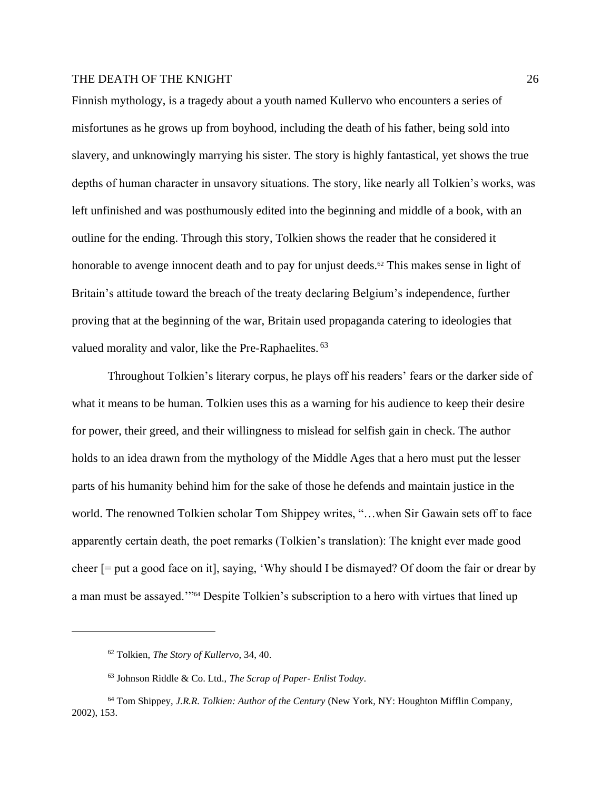Finnish mythology, is a tragedy about a youth named Kullervo who encounters a series of misfortunes as he grows up from boyhood, including the death of his father, being sold into slavery, and unknowingly marrying his sister. The story is highly fantastical, yet shows the true depths of human character in unsavory situations. The story, like nearly all Tolkien's works, was left unfinished and was posthumously edited into the beginning and middle of a book, with an outline for the ending. Through this story, Tolkien shows the reader that he considered it honorable to avenge innocent death and to pay for unjust deeds.<sup>62</sup> This makes sense in light of Britain's attitude toward the breach of the treaty declaring Belgium's independence, further proving that at the beginning of the war, Britain used propaganda catering to ideologies that valued morality and valor, like the Pre-Raphaelites. <sup>63</sup>

Throughout Tolkien's literary corpus, he plays off his readers' fears or the darker side of what it means to be human. Tolkien uses this as a warning for his audience to keep their desire for power, their greed, and their willingness to mislead for selfish gain in check. The author holds to an idea drawn from the mythology of the Middle Ages that a hero must put the lesser parts of his humanity behind him for the sake of those he defends and maintain justice in the world. The renowned Tolkien scholar Tom Shippey writes, "…when Sir Gawain sets off to face apparently certain death, the poet remarks (Tolkien's translation): The knight ever made good cheer [= put a good face on it], saying, 'Why should I be dismayed? Of doom the fair or drear by a man must be assayed."<sup>54</sup> Despite Tolkien's subscription to a hero with virtues that lined up

<sup>62</sup> Tolkien, *The Story of Kullervo*, 34, 40.

<sup>63</sup> Johnson Riddle & Co. Ltd., *The Scrap of Paper- Enlist Today*.

<sup>64</sup> Tom Shippey, *J.R.R. Tolkien: Author of the Century* (New York, NY: Houghton Mifflin Company, 2002), 153.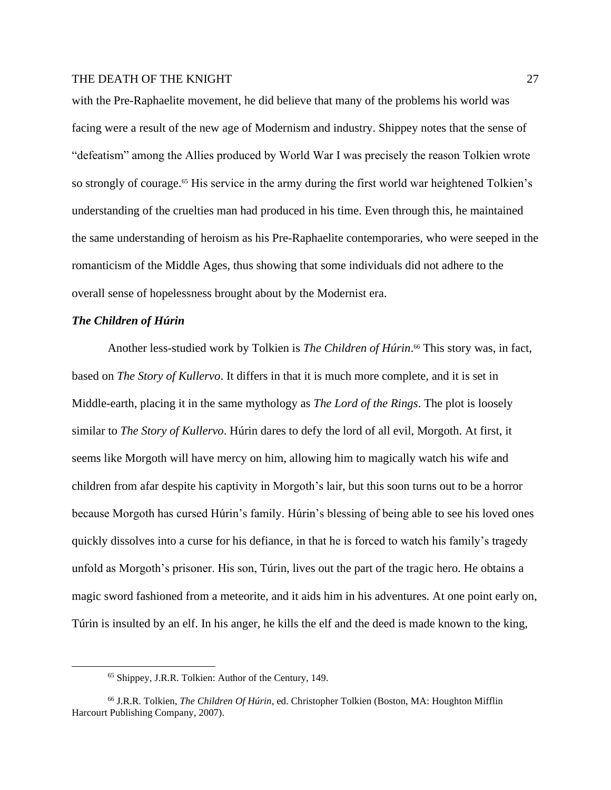with the Pre-Raphaelite movement, he did believe that many of the problems his world was facing were a result of the new age of Modernism and industry. Shippey notes that the sense of "defeatism" among the Allies produced by World War I was precisely the reason Tolkien wrote so strongly of courage.<sup>65</sup> His service in the army during the first world war heightened Tolkien's understanding of the cruelties man had produced in his time. Even through this, he maintained the same understanding of heroism as his Pre-Raphaelite contemporaries, who were seeped in the romanticism of the Middle Ages, thus showing that some individuals did not adhere to the overall sense of hopelessness brought about by the Modernist era.

#### *The Children of Húrin*

Another less-studied work by Tolkien is *The Children of Húrin*. <sup>66</sup> This story was, in fact, based on *The Story of Kullervo*. It differs in that it is much more complete, and it is set in Middle-earth, placing it in the same mythology as *The Lord of the Rings*. The plot is loosely similar to *The Story of Kullervo*. Húrin dares to defy the lord of all evil, Morgoth. At first, it seems like Morgoth will have mercy on him, allowing him to magically watch his wife and children from afar despite his captivity in Morgoth's lair, but this soon turns out to be a horror because Morgoth has cursed Húrin's family. Húrin's blessing of being able to see his loved ones quickly dissolves into a curse for his defiance, in that he is forced to watch his family's tragedy unfold as Morgoth's prisoner. His son, Túrin, lives out the part of the tragic hero. He obtains a magic sword fashioned from a meteorite, and it aids him in his adventures. At one point early on, Túrin is insulted by an elf. In his anger, he kills the elf and the deed is made known to the king,

<sup>65</sup> Shippey, J.R.R. Tolkien: Author of the Century, 149.

<sup>66</sup> J.R.R. Tolkien, *The Children Of Húrin*, ed. Christopher Tolkien (Boston, MA: Houghton Mifflin Harcourt Publishing Company, 2007).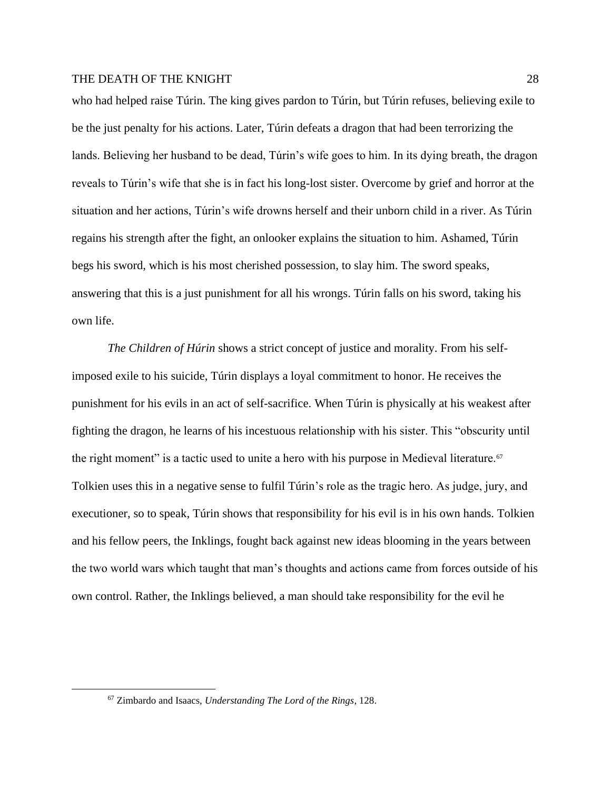who had helped raise Túrin. The king gives pardon to Túrin, but Túrin refuses, believing exile to be the just penalty for his actions. Later, Túrin defeats a dragon that had been terrorizing the lands. Believing her husband to be dead, Túrin's wife goes to him. In its dying breath, the dragon reveals to Túrin's wife that she is in fact his long-lost sister. Overcome by grief and horror at the situation and her actions, Túrin's wife drowns herself and their unborn child in a river. As Túrin regains his strength after the fight, an onlooker explains the situation to him. Ashamed, Túrin begs his sword, which is his most cherished possession, to slay him. The sword speaks, answering that this is a just punishment for all his wrongs. Túrin falls on his sword, taking his own life.

*The Children of Húrin* shows a strict concept of justice and morality. From his selfimposed exile to his suicide, Túrin displays a loyal commitment to honor. He receives the punishment for his evils in an act of self-sacrifice. When Túrin is physically at his weakest after fighting the dragon, he learns of his incestuous relationship with his sister. This "obscurity until the right moment" is a tactic used to unite a hero with his purpose in Medieval literature.<sup>67</sup> Tolkien uses this in a negative sense to fulfil Túrin's role as the tragic hero. As judge, jury, and executioner, so to speak, Túrin shows that responsibility for his evil is in his own hands. Tolkien and his fellow peers, the Inklings, fought back against new ideas blooming in the years between the two world wars which taught that man's thoughts and actions came from forces outside of his own control. Rather, the Inklings believed, a man should take responsibility for the evil he

<sup>67</sup> Zimbardo and Isaacs, *Understanding The Lord of the Rings*, 128.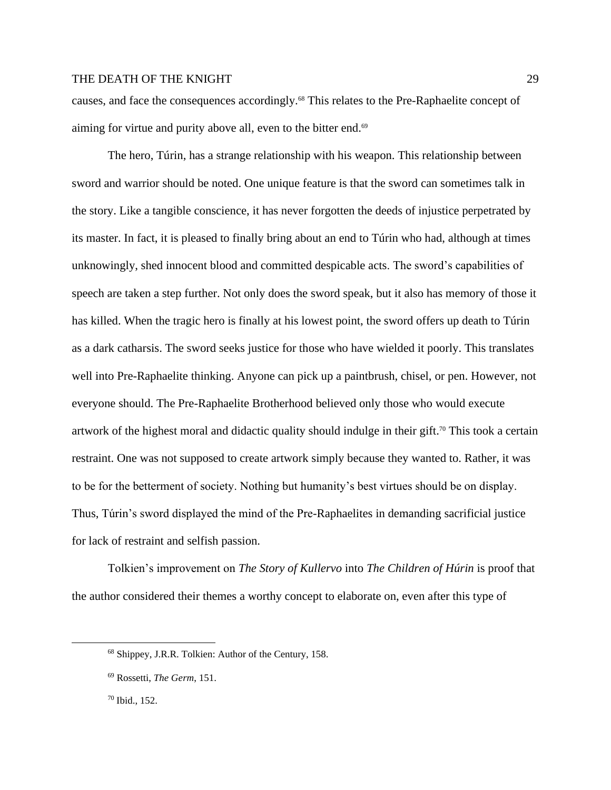causes, and face the consequences accordingly.<sup>68</sup> This relates to the Pre-Raphaelite concept of aiming for virtue and purity above all, even to the bitter end.<sup>69</sup>

The hero, Túrin, has a strange relationship with his weapon. This relationship between sword and warrior should be noted. One unique feature is that the sword can sometimes talk in the story. Like a tangible conscience, it has never forgotten the deeds of injustice perpetrated by its master. In fact, it is pleased to finally bring about an end to Túrin who had, although at times unknowingly, shed innocent blood and committed despicable acts. The sword's capabilities of speech are taken a step further. Not only does the sword speak, but it also has memory of those it has killed. When the tragic hero is finally at his lowest point, the sword offers up death to Túrin as a dark catharsis. The sword seeks justice for those who have wielded it poorly. This translates well into Pre-Raphaelite thinking. Anyone can pick up a paintbrush, chisel, or pen. However, not everyone should. The Pre-Raphaelite Brotherhood believed only those who would execute artwork of the highest moral and didactic quality should indulge in their gift.<sup>70</sup> This took a certain restraint. One was not supposed to create artwork simply because they wanted to. Rather, it was to be for the betterment of society. Nothing but humanity's best virtues should be on display. Thus, Túrin's sword displayed the mind of the Pre-Raphaelites in demanding sacrificial justice for lack of restraint and selfish passion.

Tolkien's improvement on *The Story of Kullervo* into *The Children of Húrin* is proof that the author considered their themes a worthy concept to elaborate on, even after this type of

<sup>68</sup> Shippey, J.R.R. Tolkien: Author of the Century, 158.

<sup>69</sup> Rossetti, *The Germ*, 151.

<sup>70</sup> Ibid., 152.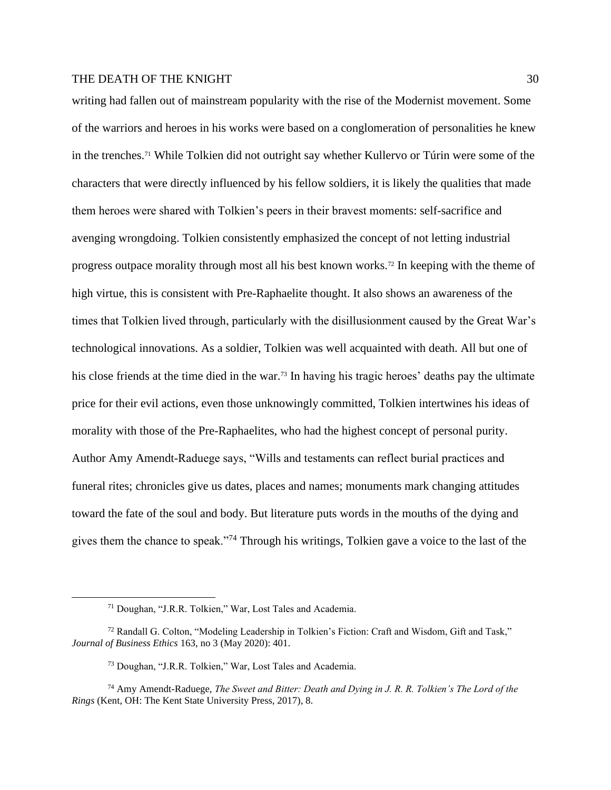writing had fallen out of mainstream popularity with the rise of the Modernist movement. Some of the warriors and heroes in his works were based on a conglomeration of personalities he knew in the trenches.<sup>71</sup> While Tolkien did not outright say whether Kullervo or Túrin were some of the characters that were directly influenced by his fellow soldiers, it is likely the qualities that made them heroes were shared with Tolkien's peers in their bravest moments: self-sacrifice and avenging wrongdoing. Tolkien consistently emphasized the concept of not letting industrial progress outpace morality through most all his best known works.<sup>72</sup> In keeping with the theme of high virtue, this is consistent with Pre-Raphaelite thought. It also shows an awareness of the times that Tolkien lived through, particularly with the disillusionment caused by the Great War's technological innovations. As a soldier, Tolkien was well acquainted with death. All but one of his close friends at the time died in the war.<sup>73</sup> In having his tragic heroes' deaths pay the ultimate price for their evil actions, even those unknowingly committed, Tolkien intertwines his ideas of morality with those of the Pre-Raphaelites, who had the highest concept of personal purity. Author Amy Amendt-Raduege says, "Wills and testaments can reflect burial practices and funeral rites; chronicles give us dates, places and names; monuments mark changing attitudes toward the fate of the soul and body. But literature puts words in the mouths of the dying and gives them the chance to speak."<sup>74</sup> Through his writings, Tolkien gave a voice to the last of the

<sup>71</sup> Doughan, "J.R.R. Tolkien," War, Lost Tales and Academia.

<sup>72</sup> Randall G. Colton, "Modeling Leadership in Tolkien's Fiction: Craft and Wisdom, Gift and Task," *Journal of Business Ethics* 163, no 3 (May 2020): 401.

<sup>73</sup> Doughan, "J.R.R. Tolkien," War, Lost Tales and Academia.

<sup>74</sup> Amy Amendt-Raduege, *The Sweet and Bitter: Death and Dying in J. R. R. Tolkien's The Lord of the Rings* (Kent, OH: The Kent State University Press, 2017), 8.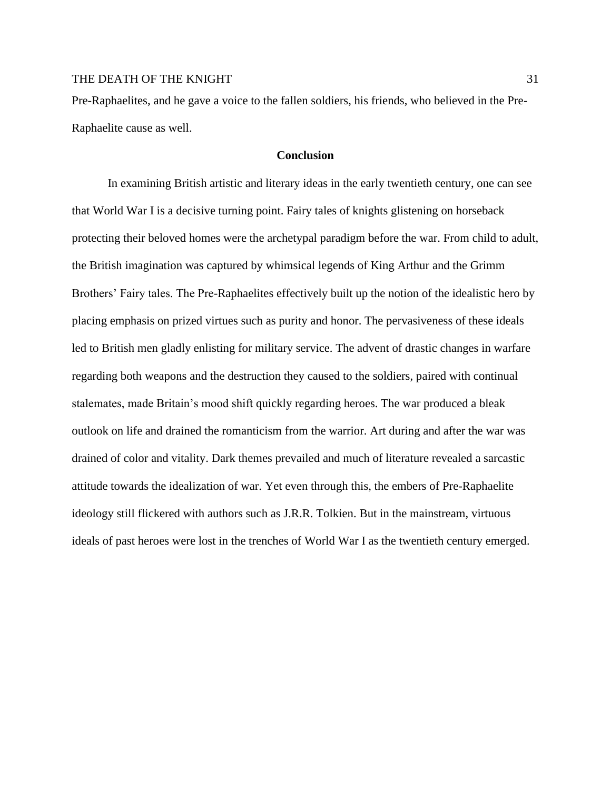Pre-Raphaelites, and he gave a voice to the fallen soldiers, his friends, who believed in the Pre-Raphaelite cause as well.

#### **Conclusion**

In examining British artistic and literary ideas in the early twentieth century, one can see that World War I is a decisive turning point. Fairy tales of knights glistening on horseback protecting their beloved homes were the archetypal paradigm before the war. From child to adult, the British imagination was captured by whimsical legends of King Arthur and the Grimm Brothers' Fairy tales. The Pre-Raphaelites effectively built up the notion of the idealistic hero by placing emphasis on prized virtues such as purity and honor. The pervasiveness of these ideals led to British men gladly enlisting for military service. The advent of drastic changes in warfare regarding both weapons and the destruction they caused to the soldiers, paired with continual stalemates, made Britain's mood shift quickly regarding heroes. The war produced a bleak outlook on life and drained the romanticism from the warrior. Art during and after the war was drained of color and vitality. Dark themes prevailed and much of literature revealed a sarcastic attitude towards the idealization of war. Yet even through this, the embers of Pre-Raphaelite ideology still flickered with authors such as J.R.R. Tolkien. But in the mainstream, virtuous ideals of past heroes were lost in the trenches of World War I as the twentieth century emerged.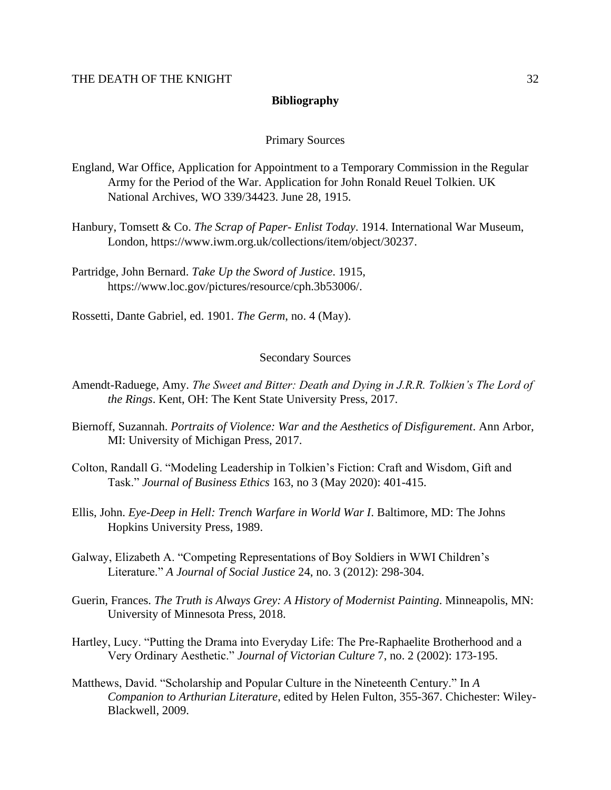#### **Bibliography**

#### Primary Sources

- England, War Office, Application for Appointment to a Temporary Commission in the Regular Army for the Period of the War. Application for John Ronald Reuel Tolkien. UK National Archives, WO 339/34423. June 28, 1915.
- Hanbury, Tomsett & Co. *The Scrap of Paper- Enlist Today*. 1914. International War Museum, London, https://www.iwm.org.uk/collections/item/object/30237.
- Partridge, John Bernard. *Take Up the Sword of Justice*. 1915, https://www.loc.gov/pictures/resource/cph.3b53006/.

Rossetti, Dante Gabriel, ed. 1901. *The Germ*, no. 4 (May).

#### Secondary Sources

- Amendt-Raduege, Amy. *The Sweet and Bitter: Death and Dying in J.R.R. Tolkien's The Lord of the Rings*. Kent, OH: The Kent State University Press, 2017.
- Biernoff, Suzannah. *Portraits of Violence: War and the Aesthetics of Disfigurement*. Ann Arbor, MI: University of Michigan Press, 2017.
- Colton, Randall G. "Modeling Leadership in Tolkien's Fiction: Craft and Wisdom, Gift and Task." *Journal of Business Ethics* 163, no 3 (May 2020): 401-415.
- Ellis, John. *Eye-Deep in Hell: Trench Warfare in World War I*. Baltimore, MD: The Johns Hopkins University Press, 1989.
- Galway, Elizabeth A. "Competing Representations of Boy Soldiers in WWI Children's Literature." *A Journal of Social Justice* 24, no. 3 (2012): 298-304.
- Guerin, Frances. *The Truth is Always Grey: A History of Modernist Painting*. Minneapolis, MN: University of Minnesota Press, 2018.
- Hartley, Lucy. "Putting the Drama into Everyday Life: The Pre-Raphaelite Brotherhood and a Very Ordinary Aesthetic." *Journal of Victorian Culture* 7, no. 2 (2002): 173-195.
- Matthews, David. "Scholarship and Popular Culture in the Nineteenth Century." In *A Companion to Arthurian Literature*, edited by Helen Fulton, 355-367. Chichester: Wiley-Blackwell, 2009.